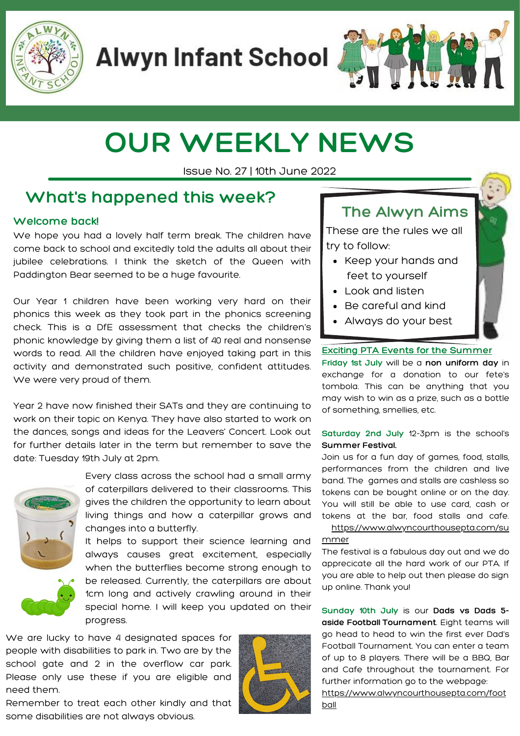

**Alwyn Infant School** 

# **OUR WEEKLY NEWS**

Issue No. 27 | 10th June 2022

# **What's happened this week?**

### **Welcome back!**

We hope you had a lovely half term break. The children have come back to school and excitedly told the adults all about their jubilee celebrations. I think the sketch of the Queen with Paddington Bear seemed to be a huge favourite.

Our Year 1 children have been working very hard on their phonics this week as they took part in the phonics screening check. This is a DfE assessment that checks the children's phonic knowledge by giving them a list of 40 real and nonsense words to read. All the children have enjoyed taking part in this activity and demonstrated such positive, confident attitudes. We were very proud of them.

Year 2 have now finished their SATs and they are continuing to work on their topic on Kenya. They have also started to work on the dances, songs and ideas for the Leavers' Concert. Look out for further details later in the term but remember to save the date: Tuesday 19th July at 2pm.



Every class across the school had a small army of caterpillars delivered to their classrooms. This gives the children the opportunity to learn about living things and how a caterpillar grows and changes into a butterfly.

It helps to support their science learning and always causes great excitement, especially when the butterflies become strong enough to be released. Currently, the caterpillars are about 1cm long and actively crawling around in their special home. I will keep you updated on their progress.

We are lucky to have 4 designated spaces for people with disabilities to park in. Two are by the school gate and 2 in the overflow car park. Please only use these if you are eligible and need them.



# **The Alwyn Aims**

These are the rules we all try to follow:

- Keep your hands and feet to yourself
- Look and listen
- Be careful and kind
- Always do your best

#### **Exciting PTA Events for the Summer**

**Friday 1st July** will be a **non uniform day** in exchange for a donation to our fete's tombola. This can be anything that you may wish to win as a prize, such as a bottle of something, smellies, etc.

#### **Saturday 2nd July** 12-3pm is the school's **Summer Festival.**

Join us for a fun day of games, food, stalls, performances from the children and live band. The games and stalls are cashless so tokens can be bought online or on the day. You will still be able to use card, cash or tokens at the bar, food stalls and cafe.

[https://www.alwyncourthousepta.com/su](https://www.alwyncourthousepta.com/summer) mmer

The festival is a fabulous day out and we do apprecicate all the hard work of our PTA. If you are able to help out then please do sign up online. Thank you!

**Sunday 10th July** is our **Dads vs Dads 5 aside Football Tournament**. Eight teams will go head to head to win the first ever Dad's Football Tournament. You can enter a team of up to 8 players. There will be a BBQ, Bar and Cafe throughout the tournament. For further information go to the webpage: [https://www.alwyncourthousepta.com/foot](https://www.alwyncourthousepta.com/football) ball

Remember to treat each other kindly and that some disabilities are not always obvious.